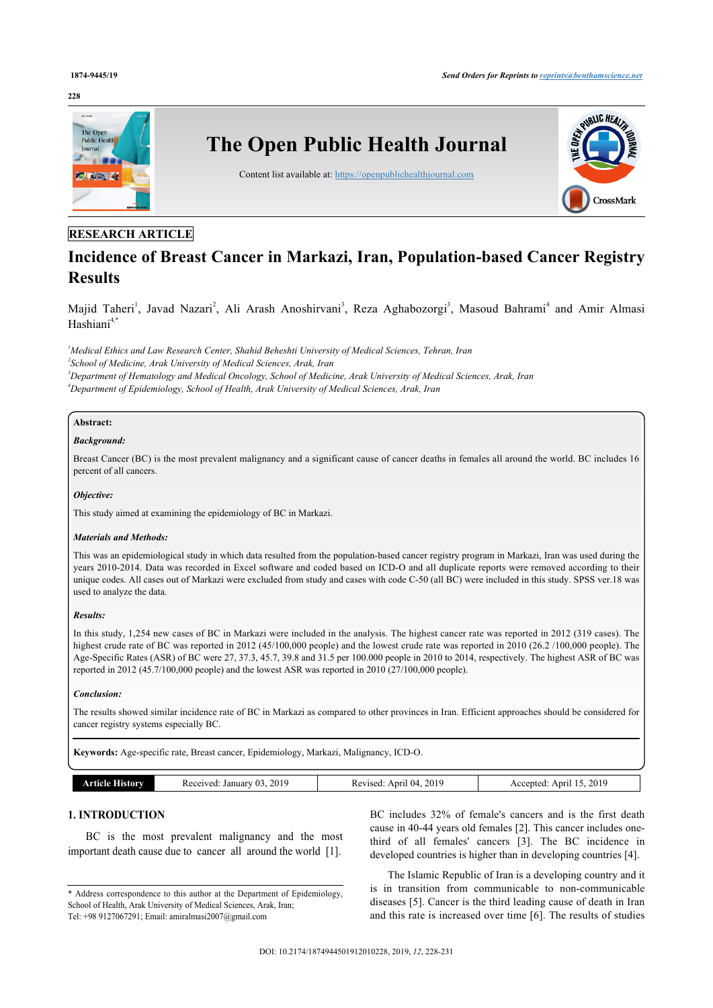#### **228**



# **RESEARCH ARTICLE**

# **Incidence of Breast Cancer in Markazi, Iran, Population-based Cancer Registry Results**

Majid Taheri<sup>[1](#page-0-0)</sup>, Javad Nazari<sup>[2](#page-0-1)</sup>, Ali Arash Anoshirvani<sup>[3](#page-0-2)</sup>, Reza Aghabozorgi<sup>3</sup>, Masoud Bahrami<sup>[4](#page-0-3)</sup> and Amir Almasi Hashiani $4,*$  $4,*$ 

<span id="page-0-3"></span><span id="page-0-2"></span><span id="page-0-1"></span><span id="page-0-0"></span>*Medical Ethics and Law Research Center, Shahid Beheshti University of Medical Sciences, Tehran, Iran School of Medicine, Arak University of Medical Sciences, Arak, Iran Department of Hematology and Medical Oncology, School of Medicine, Arak University of Medical Sciences, Arak, Iran Department of Epidemiology, School of Health, Arak University of Medical Sciences, Arak, Iran*

## **Abstract:**

# *Background:*

Breast Cancer (BC) is the most prevalent malignancy and a significant cause of cancer deaths in females all around the world. BC includes 16 percent of all cancers.

#### *Objective:*

This study aimed at examining the epidemiology of BC in Markazi.

#### *Materials and Methods:*

This was an epidemiological study in which data resulted from the population-based cancer registry program in Markazi, Iran was used during the years 2010-2014. Data was recorded in Excel software and coded based on ICD-O and all duplicate reports were removed according to their unique codes. All cases out of Markazi were excluded from study and cases with code C-50 (all BC) were included in this study. SPSS ver.18 was used to analyze the data.

#### *Results:*

In this study, 1,254 new cases of BC in Markazi were included in the analysis. The highest cancer rate was reported in 2012 (319 cases). The highest crude rate of BC was reported in 2012 (45/100,000 people) and the lowest crude rate was reported in 2010 (26.2 /100,000 people). The Age-Specific Rates (ASR) of BC were 27, 37.3, 45.7, 39.8 and 31.5 per 100.000 people in 2010 to 2014, respectively. The highest ASR of BC was reported in 2012 (45.7/100,000 people) and the lowest ASR was reported in 2010 (27/100,000 people).

#### *Conclusion:*

The results showed similar incidence rate of BC in Markazi as compared to other provinces in Iran. Efficient approaches should be considered for cancer registry systems especially BC.

**Keywords:** Age-specific rate, Breast cancer, Epidemiology, Markazi, Malignancy, ICD-O.

| History<br>A Frain | 2019<br>January 03<br>Received. | 2019<br>l ()4<br>Anril<br>Revised:<br>. | 2019<br>Anril<br>-15.<br>Accepted<br>. |
|--------------------|---------------------------------|-----------------------------------------|----------------------------------------|

# **1. INTRODUCTION**

BC is the most prevalent malignancy and the most important death cause due to cancer all around the world [\[1\]](#page-3-0).

BC includes 32% of female's cancers and is the first death cause in 40-44 years old females [\[2\]](#page-3-1). This cancer includes onethird of all females' cancers [\[3\]](#page-3-2). The BC incidence in developed countries is higher than in developing countries [\[4\]](#page-3-3).

The Islamic Republic of Iran is a developing country and it is in transition from communicable to non-communicable diseases [[5](#page-3-4)]. Cancer is the third leading cause of death in Iran and this rate is increased over time [[6](#page-3-5)]. The results of studies

<span id="page-0-4"></span><sup>\*</sup> Address correspondence to this author at the Department of Epidemiology, School of Health, Arak University of Medical Sciences, Arak, Iran; Tel: +98 9127067291; Email: [amiralmasi2007@gmail.com](mailto:amiralmasi2007@gmail.com)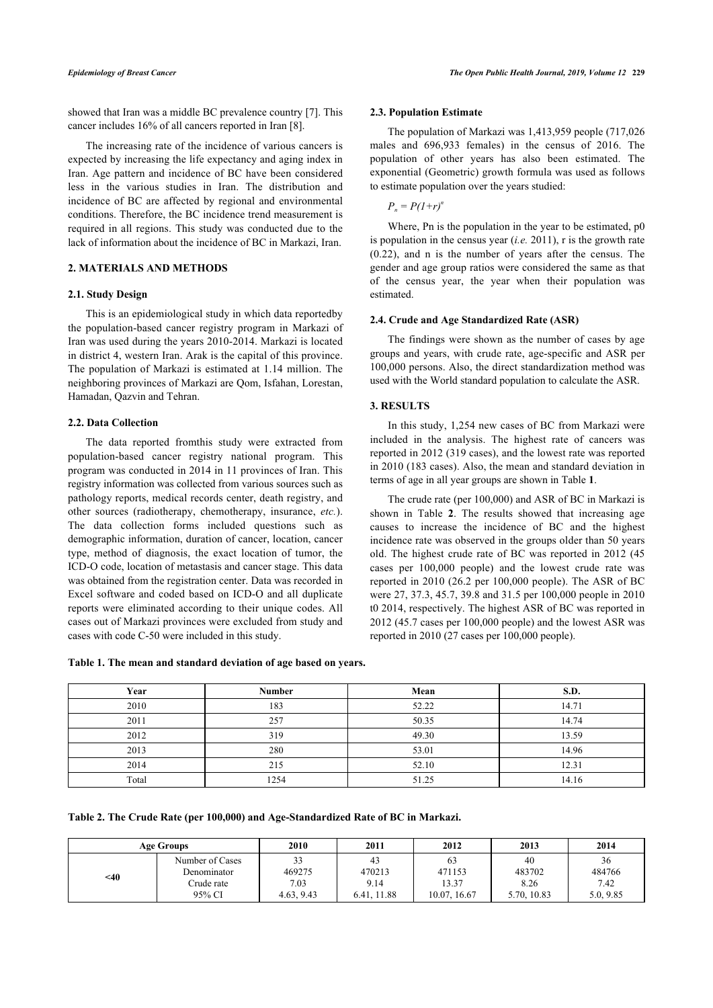showed that Iran was a middle BC prevalence country [\[7\]](#page-3-6). This cancer includes 16% of all cancers reported in Iran [[8](#page-3-7)].

The increasing rate of the incidence of various cancers is expected by increasing the life expectancy and aging index in Iran. Age pattern and incidence of BC have been considered less in the various studies in Iran. The distribution and incidence of BC are affected by regional and environmental conditions. Therefore, the BC incidence trend measurement is required in all regions. This study was conducted due to the lack of information about the incidence of BC in Markazi, Iran.

#### **2. MATERIALS AND METHODS**

#### **2.1. Study Design**

This is an epidemiological study in which data reportedby the population-based cancer registry program in Markazi of Iran was used during the years 2010-2014. Markazi is located in district 4, western Iran. Arak is the capital of this province. The population of Markazi is estimated at 1.14 million. The neighboring provinces of Markazi are Qom, Isfahan, Lorestan, Hamadan, Qazvin and Tehran.

#### **2.2. Data Collection**

The data reported fromthis study were extracted from population-based cancer registry national program. This program was conducted in 2014 in 11 provinces of Iran. This registry information was collected from various sources such as pathology reports, medical records center, death registry, and other sources (radiotherapy, chemotherapy, insurance, *etc.*). The data collection forms included questions such as demographic information, duration of cancer, location, cancer type, method of diagnosis, the exact location of tumor, the ICD-O code, location of metastasis and cancer stage. This data was obtained from the registration center. Data was recorded in Excel software and coded based on ICD-O and all duplicate reports were eliminated according to their unique codes. All cases out of Markazi provinces were excluded from study and cases with code C-50 were included in this study.

#### **2.3. Population Estimate**

The population of Markazi was 1,413,959 people (717,026 males and 696,933 females) in the census of 2016. The population of other years has also been estimated. The exponential (Geometric) growth formula was used as follows to estimate population over the years studied:

 $P_n = P(1+r)^n$ 

Where, Pn is the population in the year to be estimated, p0 is population in the census year (*i.e.* 2011), r is the growth rate (0.22), and n is the number of years after the census. The gender and age group ratios were considered the same as that of the census year, the year when their population was estimated.

### **2.4. Crude and Age Standardized Rate (ASR)**

The findings were shown as the number of cases by age groups and years, with crude rate, age-specific and ASR per 100,000 persons. Also, the direct standardization method was used with the World standard population to calculate the ASR.

#### **3. RESULTS**

In this study, 1,254 new cases of BC from Markazi were included in the analysis. The highest rate of cancers was reported in 2012 (319 cases), and the lowest rate was reported in 2010 (183 cases). Also, the mean and standard deviation in terms of age in all year groups are shown in Table **[1](#page-1-0)**.

The crude rate (per 100,000) and ASR of BC in Markazi is shown in Table**2**. The results showed that increasing age causes to increase the incidence of BC and the highest incidence rate was observed in the groups older than 50 years old. The highest crude rate of BC was reported in 2012 (45 cases per 100,000 people) and the lowest crude rate was reported in 2010 (26.2 per 100,000 people). The ASR of BC were 27, 37.3, 45.7, 39.8 and 31.5 per 100,000 people in 2010 t0 2014, respectively. The highest ASR of BC was reported in 2012 (45.7 cases per 100,000 people) and the lowest ASR was reported in 2010 (27 cases per 100,000 people).

<span id="page-1-0"></span>**Table 1. The mean and standard deviation of age based on years.**

| Year  | <b>Number</b> | Mean  | S.D.  |
|-------|---------------|-------|-------|
| 2010  | 183           | 52.22 | 14.71 |
| 2011  | 257           | 50.35 | 14.74 |
| 2012  | 319           | 49.30 | 13.59 |
| 2013  | 280           | 53.01 | 14.96 |
| 2014  | 215           | 52.10 | 12.31 |
| Total | 1254          | 51.25 | 14.16 |

<span id="page-1-1"></span>**Table 2. The Crude Rate (per 100,000) and Age-Standardized Rate of BC in Markazi.**

| <b>Age Groups</b> |                                | 2010         | 2011         | 2012         | 2013         | 2014         |
|-------------------|--------------------------------|--------------|--------------|--------------|--------------|--------------|
| $<$ 40            | Number of Cases<br>Denominator | 33<br>469275 | 43<br>470213 | 63<br>471153 | 40<br>483702 | 36<br>484766 |
|                   | Crude rate                     | 7.03         | 9.14         | 13.37        | 8.26         | 7.42         |
|                   | 95% CI                         | 4.63, 9.43   | 6.41, 11.88  | 10.07, 16.67 | 5.70, 10.83  | 5.0, 9.85    |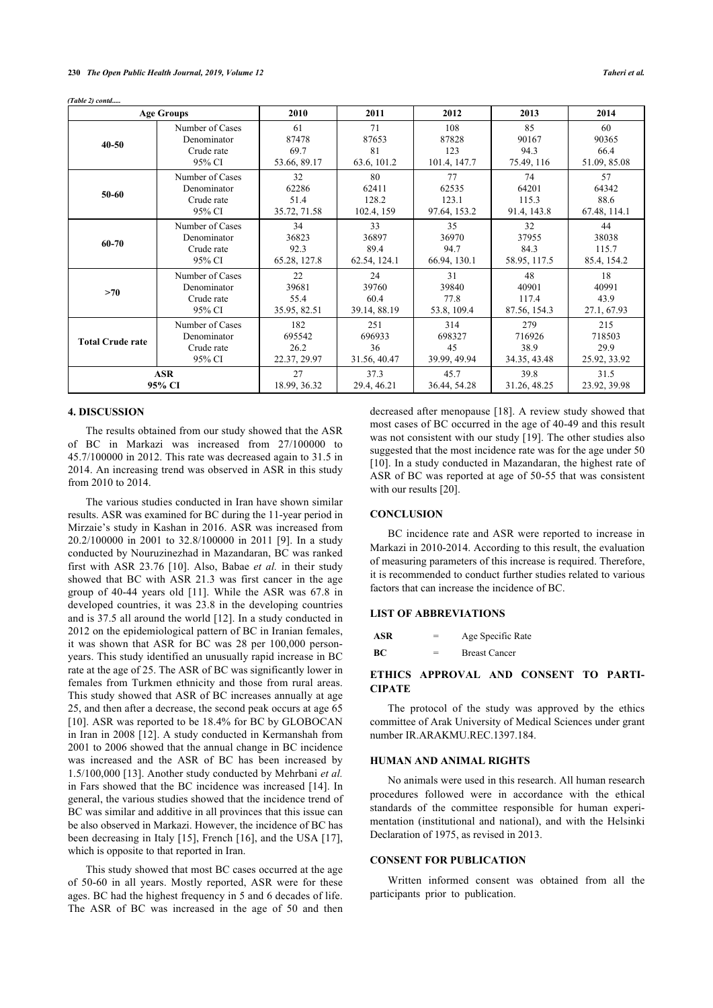*(Table 2) contd.....*

| <b>Age Groups</b>       |                 | 2010         | 2011         | 2012         | 2013         | 2014         |
|-------------------------|-----------------|--------------|--------------|--------------|--------------|--------------|
| $40 - 50$               | Number of Cases | 61           | 71           | 108          | 85           | 60           |
|                         | Denominator     | 87478        | 87653        | 87828        | 90167        | 90365        |
|                         | Crude rate      | 69.7         | 81           | 123          | 94.3         | 66.4         |
|                         | 95% CI          | 53.66, 89.17 | 63.6, 101.2  | 101.4, 147.7 | 75.49, 116   | 51.09, 85.08 |
| 50-60                   | Number of Cases | 32           | 80           | 77           | 74           | 57           |
|                         | Denominator     | 62286        | 62411        | 62535        | 64201        | 64342        |
|                         | Crude rate      | 51.4         | 128.2        | 123.1        | 115.3        | 88.6         |
|                         | 95% CI          | 35.72, 71.58 | 102.4, 159   | 97.64, 153.2 | 91.4, 143.8  | 67.48, 114.1 |
| 60-70                   | Number of Cases | 34           | 33           | 35           | 32           | 44           |
|                         | Denominator     | 36823        | 36897        | 36970        | 37955        | 38038        |
|                         | Crude rate      | 92.3         | 89.4         | 94.7         | 84.3         | 115.7        |
|                         | 95% CI          | 65.28, 127.8 | 62.54, 124.1 | 66.94, 130.1 | 58.95, 117.5 | 85.4, 154.2  |
| >70                     | Number of Cases | 22           | 24           | 31           | 48           | 18           |
|                         | Denominator     | 39681        | 39760        | 39840        | 40901        | 40991        |
|                         | Crude rate      | 55.4         | 60.4         | 77.8         | 117.4        | 43.9         |
|                         | 95% CI          | 35.95, 82.51 | 39.14, 88.19 | 53.8, 109.4  | 87.56, 154.3 | 27.1, 67.93  |
| <b>Total Crude rate</b> | Number of Cases | 182          | 251          | 314          | 279          | 215          |
|                         | Denominator     | 695542       | 696933       | 698327       | 716926       | 718503       |
|                         | Crude rate      | 26.2         | 36           | 45           | 38.9         | 29.9         |
|                         | 95% CI          | 22.37, 29.97 | 31.56, 40.47 | 39.99, 49.94 | 34.35, 43.48 | 25.92, 33.92 |
| <b>ASR</b>              |                 | 27           | 37.3         | 45.7         | 39.8         | 31.5         |
| 95% CI                  |                 | 18.99, 36.32 | 29.4, 46.21  | 36.44, 54.28 | 31.26, 48.25 | 23.92, 39.98 |

#### **4. DISCUSSION**

The results obtained from our study showed that the ASR of BC in Markazi was increased from 27/100000 to 45.7/100000 in 2012. This rate was decreased again to 31.5 in 2014. An increasing trend was observed in ASR in this study from 2010 to 2014.

The various studies conducted in Iran have shown similar results. ASR was examined for BC during the 11-year period in Mirzaie's study in Kashan in 2016. ASR was increased from 20.2/100000 in 2001 to 32.8/100000 in 2011 [\[9](#page-3-8)]. In a study conducted by Nouruzinezhad in Mazandaran, BC was ranked first with ASR 23.76[[10](#page-3-9)]. Also, Babae *et al.* in their study showed that BC with ASR 21.3 was first cancer in the age group of 40-44 years old [\[11](#page-3-10)]. While the ASR was 67.8 in developed countries, it was 23.8 in the developing countries and is 37.5 all around the world [[12\]](#page-3-11). In a study conducted in 2012 on the epidemiological pattern of BC in Iranian females, it was shown that ASR for BC was 28 per 100,000 personyears. This study identified an unusually rapid increase in BC rate at the age of 25. The ASR of BC was significantly lower in females from Turkmen ethnicity and those from rural areas. This study showed that ASR of BC increases annually at age 25, and then after a decrease, the second peak occurs at age 65 [[10\]](#page-3-9). ASR was reported to be 18.4% for BC by GLOBOCAN in Iran in 2008 [[12\]](#page-3-11). A study conducted in Kermanshah from 2001 to 2006 showed that the annual change in BC incidence was increased and the ASR of BC has been increased by 1.5/100,000 [[13](#page-3-12)]. Another study conducted by Mehrbani *et al.* in Fars showed that the BC incidence was increased [[14](#page-3-13)]. In general, the various studies showed that the incidence trend of BC was similar and additive in all provinces that this issue can be also observed in Markazi. However, the incidence of BC has been decreasing in Italy [[15\]](#page-3-14), French [\[16\]](#page-3-15), and the USA [[17\]](#page-3-16), which is opposite to that reported in Iran.

This study showed that most BC cases occurred at the age of 50-60 in all years. Mostly reported, ASR were for these ages. BC had the highest frequency in 5 and 6 decades of life. The ASR of BC was increased in the age of 50 and then decreased after menopause [[18\]](#page-3-17). A review study showed that most cases of BC occurred in the age of 40-49 and this result was not consistent with our study [[19\]](#page-3-18). The other studies also suggested that the most incidence rate was for the age under 50 [[10](#page-3-9)]. In a study conducted in Mazandaran, the highest rate of ASR of BC was reported at age of 50-55 that was consistent with our results [\[20](#page-3-19)].

#### **CONCLUSION**

BC incidence rate and ASR were reported to increase in Markazi in 2010-2014. According to this result, the evaluation of measuring parameters of this increase is required. Therefore, it is recommended to conduct further studies related to various factors that can increase the incidence of BC.

# **LIST OF ABBREVIATIONS**

| ASR | = | Age Specific Rate    |
|-----|---|----------------------|
| BС  | = | <b>Breast Cancer</b> |

### **ETHICS APPROVAL AND CONSENT TO PARTI-CIPATE**

The protocol of the study was approved by the ethics committee of Arak University of Medical Sciences under grant number IR.ARAKMU.REC.1397.184.

### **HUMAN AND ANIMAL RIGHTS**

No animals were used in this research. All human research procedures followed were in accordance with the ethical standards of the committee responsible for human experimentation (institutional and national), and with the Helsinki Declaration of 1975, as revised in 2013.

#### **CONSENT FOR PUBLICATION**

Written informed consent was obtained from all the participants prior to publication.